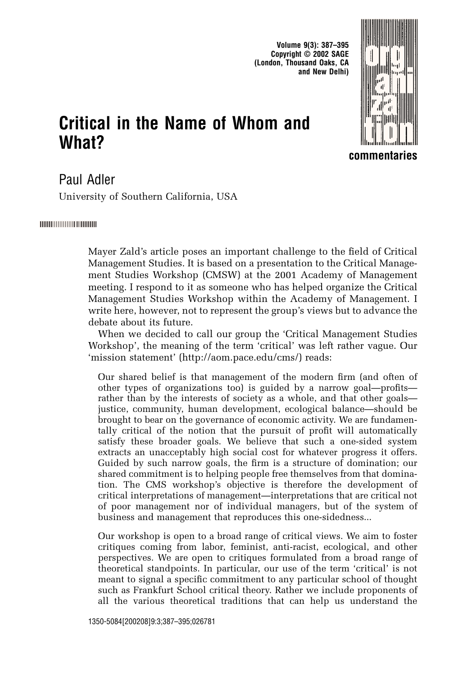**Volume 9(3): 387–395 Copyright © 2002 SAGE (London, Thousand Oaks, CA and New Delhi)**

# **Critical in the Name of Whom and**



**commentaries**

# Paul Adler

**What?**

University of Southern California, USA

#### |||||||||||||||||||||||||||||||||||

Mayer Zald's article poses an important challenge to the field of Critical Management Studies. It is based on a presentation to the Critical Management Studies Workshop (CMSW) at the 2001 Academy of Management meeting. I respond to it as someone who has helped organize the Critical Management Studies Workshop within the Academy of Management. I write here, however, not to represent the group's views but to advance the debate about its future.

When we decided to call our group the 'Critical Management Studies Workshop', the meaning of the term 'critical' was left rather vague. Our 'mission statement' (http://aom.pace.edu/cms/) reads:

Our shared belief is that management of the modern firm (and often of other types of organizations too) is guided by a narrow goal—profits rather than by the interests of society as a whole, and that other goals justice, community, human development, ecological balance—should be brought to bear on the governance of economic activity. We are fundamentally critical of the notion that the pursuit of profit will automatically satisfy these broader goals. We believe that such a one-sided system extracts an unacceptably high social cost for whatever progress it offers. Guided by such narrow goals, the firm is a structure of domination; our shared commitment is to helping people free themselves from that domination. The CMS workshop's objective is therefore the development of critical interpretations of management—interpretations that are critical not of poor management nor of individual managers, but of the system of business and management that reproduces this one-sidedness...

Our workshop is open to a broad range of critical views. We aim to foster critiques coming from labor, feminist, anti-racist, ecological, and other perspectives. We are open to critiques formulated from a broad range of theoretical standpoints. In particular, our use of the term 'critical' is not meant to signal a specific commitment to any particular school of thought such as Frankfurt School critical theory. Rather we include proponents of all the various theoretical traditions that can help us understand the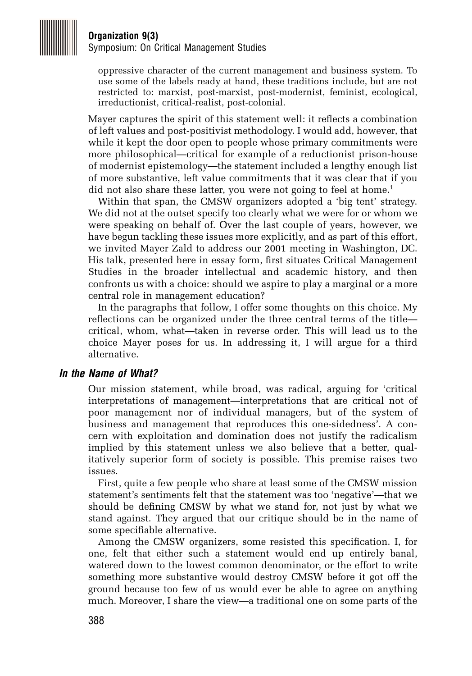

Symposium: On Critical Management Studies

oppressive character of the current management and business system. To use some of the labels ready at hand, these traditions include, but are not restricted to: marxist, post-marxist, post-modernist, feminist, ecological, irreductionist, critical-realist, post-colonial.

Mayer captures the spirit of this statement well: it reflects a combination of left values and post-positivist methodology. I would add, however, that while it kept the door open to people whose primary commitments were more philosophical—critical for example of a reductionist prison-house of modernist epistemology—the statement included a lengthy enough list of more substantive, left value commitments that it was clear that if you did not also share these latter, you were not going to feel at home.<sup>1</sup>

Within that span, the CMSW organizers adopted a 'big tent' strategy. We did not at the outset specify too clearly what we were for or whom we were speaking on behalf of. Over the last couple of years, however, we have begun tackling these issues more explicitly, and as part of this effort, we invited Mayer Zald to address our 2001 meeting in Washington, DC. His talk, presented here in essay form, first situates Critical Management Studies in the broader intellectual and academic history, and then confronts us with a choice: should we aspire to play a marginal or a more central role in management education?

In the paragraphs that follow, I offer some thoughts on this choice. My reflections can be organized under the three central terms of the title critical, whom, what—taken in reverse order. This will lead us to the choice Mayer poses for us. In addressing it, I will argue for a third alternative.

#### **In the Name of What?**

Our mission statement, while broad, was radical, arguing for 'critical interpretations of management—interpretations that are critical not of poor management nor of individual managers, but of the system of business and management that reproduces this one-sidedness'. A concern with exploitation and domination does not justify the radicalism implied by this statement unless we also believe that a better, qualitatively superior form of society is possible. This premise raises two issues.

First, quite a few people who share at least some of the CMSW mission statement's sentiments felt that the statement was too 'negative'—that we should be defining CMSW by what we stand for, not just by what we stand against. They argued that our critique should be in the name of some specifiable alternative.

Among the CMSW organizers, some resisted this specification. I, for one, felt that either such a statement would end up entirely banal, watered down to the lowest common denominator, or the effort to write something more substantive would destroy CMSW before it got off the ground because too few of us would ever be able to agree on anything much. Moreover, I share the view—a traditional one on some parts of the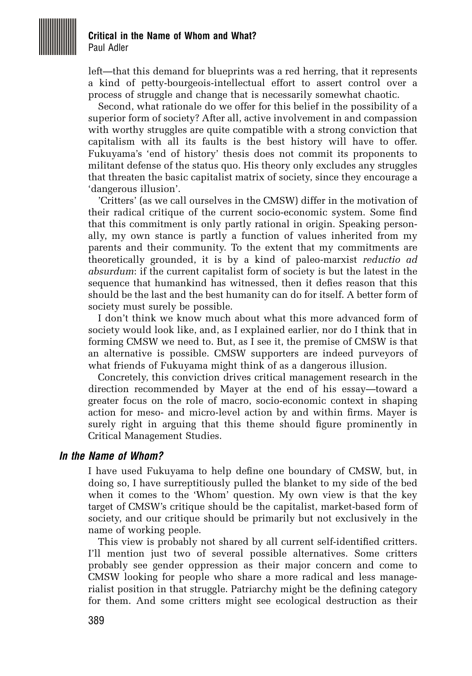

#### **Critical in the Name of Whom and What?** Paul Adler

left—that this demand for blueprints was a red herring, that it represents a kind of petty-bourgeois-intellectual effort to assert control over a process of struggle and change that is necessarily somewhat chaotic.

Second, what rationale do we offer for this belief in the possibility of a superior form of society? After all, active involvement in and compassion with worthy struggles are quite compatible with a strong conviction that capitalism with all its faults is the best history will have to offer. Fukuyama's 'end of history' thesis does not commit its proponents to militant defense of the status quo. His theory only excludes any struggles that threaten the basic capitalist matrix of society, since they encourage a 'dangerous illusion'.

'Critters' (as we call ourselves in the CMSW) differ in the motivation of their radical critique of the current socio-economic system. Some find that this commitment is only partly rational in origin. Speaking personally, my own stance is partly a function of values inherited from my parents and their community. To the extent that my commitments are theoretically grounded, it is by a kind of paleo-marxist *reductio ad absurdum*: if the current capitalist form of society is but the latest in the sequence that humankind has witnessed, then it defies reason that this should be the last and the best humanity can do for itself. A better form of society must surely be possible.

I don't think we know much about what this more advanced form of society would look like, and, as I explained earlier, nor do I think that in forming CMSW we need to. But, as I see it, the premise of CMSW is that an alternative is possible. CMSW supporters are indeed purveyors of what friends of Fukuyama might think of as a dangerous illusion.

Concretely, this conviction drives critical management research in the direction recommended by Mayer at the end of his essay—toward a greater focus on the role of macro, socio-economic context in shaping action for meso- and micro-level action by and within firms. Mayer is surely right in arguing that this theme should figure prominently in Critical Management Studies.

#### **In the Name of Whom?**

I have used Fukuyama to help define one boundary of CMSW, but, in doing so, I have surreptitiously pulled the blanket to my side of the bed when it comes to the 'Whom' question. My own view is that the key target of CMSW's critique should be the capitalist, market-based form of society, and our critique should be primarily but not exclusively in the name of working people.

This view is probably not shared by all current self-identified critters. I'll mention just two of several possible alternatives. Some critters probably see gender oppression as their major concern and come to CMSW looking for people who share a more radical and less managerialist position in that struggle. Patriarchy might be the defining category for them. And some critters might see ecological destruction as their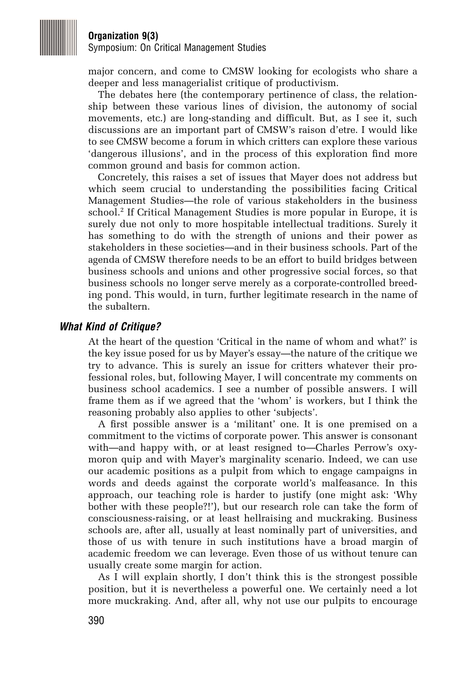

Symposium: On Critical Management Studies

major concern, and come to CMSW looking for ecologists who share a deeper and less managerialist critique of productivism.

The debates here (the contemporary pertinence of class, the relationship between these various lines of division, the autonomy of social movements, etc.) are long-standing and difficult. But, as I see it, such discussions are an important part of CMSW's raison d'etre. I would like to see CMSW become a forum in which critters can explore these various 'dangerous illusions', and in the process of this exploration find more common ground and basis for common action.

Concretely, this raises a set of issues that Mayer does not address but which seem crucial to understanding the possibilities facing Critical Management Studies—the role of various stakeholders in the business school.<sup>2</sup> If Critical Management Studies is more popular in Europe, it is surely due not only to more hospitable intellectual traditions. Surely it has something to do with the strength of unions and their power as stakeholders in these societies—and in their business schools. Part of the agenda of CMSW therefore needs to be an effort to build bridges between business schools and unions and other progressive social forces, so that business schools no longer serve merely as a corporate-controlled breeding pond. This would, in turn, further legitimate research in the name of the subaltern.

#### **What Kind of Critique?**

At the heart of the question 'Critical in the name of whom and what?' is the key issue posed for us by Mayer's essay—the nature of the critique we try to advance. This is surely an issue for critters whatever their professional roles, but, following Mayer, I will concentrate my comments on business school academics. I see a number of possible answers. I will frame them as if we agreed that the 'whom' is workers, but I think the reasoning probably also applies to other 'subjects'.

A first possible answer is a 'militant' one. It is one premised on a commitment to the victims of corporate power. This answer is consonant with—and happy with, or at least resigned to—Charles Perrow's oxymoron quip and with Mayer's marginality scenario. Indeed, we can use our academic positions as a pulpit from which to engage campaigns in words and deeds against the corporate world's malfeasance. In this approach, our teaching role is harder to justify (one might ask: 'Why bother with these people?!'), but our research role can take the form of consciousness-raising, or at least hellraising and muckraking. Business schools are, after all, usually at least nominally part of universities, and those of us with tenure in such institutions have a broad margin of academic freedom we can leverage. Even those of us without tenure can usually create some margin for action.

As I will explain shortly, I don't think this is the strongest possible position, but it is nevertheless a powerful one. We certainly need a lot more muckraking. And, after all, why not use our pulpits to encourage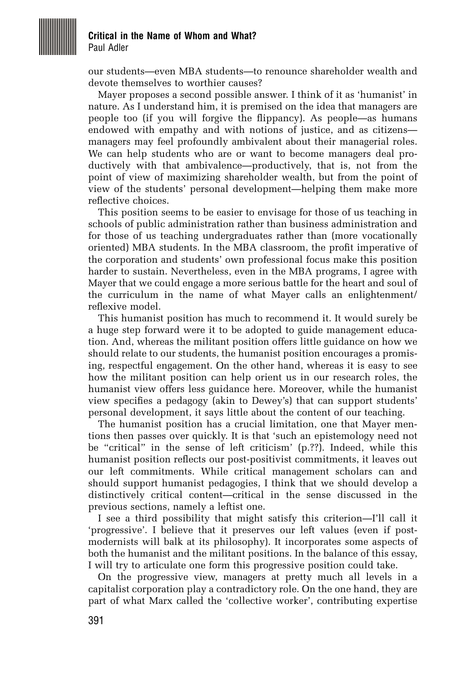

#### **Critical in the Name of Whom and What?** Paul Adler

our students—even MBA students—to renounce shareholder wealth and devote themselves to worthier causes?

Mayer proposes a second possible answer. I think of it as 'humanist' in nature. As I understand him, it is premised on the idea that managers are people too (if you will forgive the flippancy). As people—as humans endowed with empathy and with notions of justice, and as citizens managers may feel profoundly ambivalent about their managerial roles. We can help students who are or want to become managers deal productively with that ambivalence—productively, that is, not from the point of view of maximizing shareholder wealth, but from the point of view of the students' personal development—helping them make more reflective choices.

This position seems to be easier to envisage for those of us teaching in schools of public administration rather than business administration and for those of us teaching undergraduates rather than (more vocationally oriented) MBA students. In the MBA classroom, the profit imperative of the corporation and students' own professional focus make this position harder to sustain. Nevertheless, even in the MBA programs, I agree with Mayer that we could engage a more serious battle for the heart and soul of the curriculum in the name of what Mayer calls an enlightenment/ reflexive model.

This humanist position has much to recommend it. It would surely be a huge step forward were it to be adopted to guide management education. And, whereas the militant position offers little guidance on how we should relate to our students, the humanist position encourages a promising, respectful engagement. On the other hand, whereas it is easy to see how the militant position can help orient us in our research roles, the humanist view offers less guidance here. Moreover, while the humanist view specifies a pedagogy (akin to Dewey's) that can support students' personal development, it says little about the content of our teaching.

The humanist position has a crucial limitation, one that Mayer mentions then passes over quickly. It is that 'such an epistemology need not be "critical" in the sense of left criticism' (p.??). Indeed, while this humanist position reflects our post-positivist commitments, it leaves out our left commitments. While critical management scholars can and should support humanist pedagogies, I think that we should develop a distinctively critical content—critical in the sense discussed in the previous sections, namely a leftist one.

I see a third possibility that might satisfy this criterion—I'll call it 'progressive'. I believe that it preserves our left values (even if postmodernists will balk at its philosophy). It incorporates some aspects of both the humanist and the militant positions. In the balance of this essay, I will try to articulate one form this progressive position could take.

On the progressive view, managers at pretty much all levels in a capitalist corporation play a contradictory role. On the one hand, they are part of what Marx called the 'collective worker', contributing expertise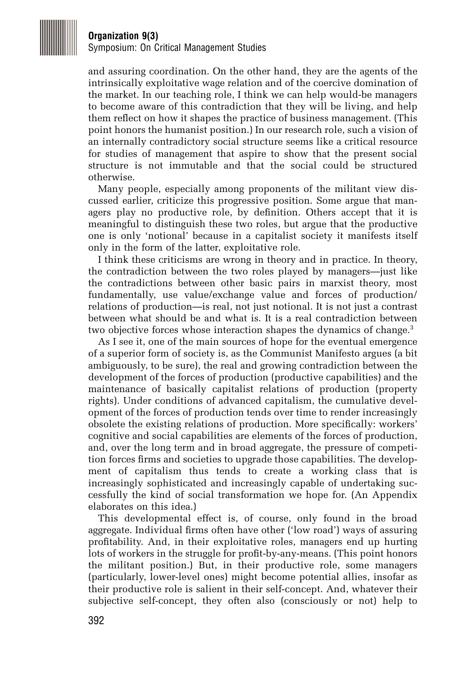

Symposium: On Critical Management Studies

and assuring coordination. On the other hand, they are the agents of the intrinsically exploitative wage relation and of the coercive domination of the market. In our teaching role, I think we can help would-be managers to become aware of this contradiction that they will be living, and help them reflect on how it shapes the practice of business management. (This point honors the humanist position.) In our research role, such a vision of an internally contradictory social structure seems like a critical resource for studies of management that aspire to show that the present social structure is not immutable and that the social could be structured otherwise.

Many people, especially among proponents of the militant view discussed earlier, criticize this progressive position. Some argue that managers play no productive role, by definition. Others accept that it is meaningful to distinguish these two roles, but argue that the productive one is only 'notional' because in a capitalist society it manifests itself only in the form of the latter, exploitative role.

I think these criticisms are wrong in theory and in practice. In theory, the contradiction between the two roles played by managers—just like the contradictions between other basic pairs in marxist theory, most fundamentally, use value/exchange value and forces of production/ relations of production—is real, not just notional. It is not just a contrast between what should be and what is. It is a real contradiction between two objective forces whose interaction shapes the dynamics of change.<sup>3</sup>

As I see it, one of the main sources of hope for the eventual emergence of a superior form of society is, as the Communist Manifesto argues (a bit ambiguously, to be sure), the real and growing contradiction between the development of the forces of production (productive capabilities) and the maintenance of basically capitalist relations of production (property rights). Under conditions of advanced capitalism, the cumulative development of the forces of production tends over time to render increasingly obsolete the existing relations of production. More specifically: workers' cognitive and social capabilities are elements of the forces of production, and, over the long term and in broad aggregate, the pressure of competition forces firms and societies to upgrade those capabilities. The development of capitalism thus tends to create a working class that is increasingly sophisticated and increasingly capable of undertaking successfully the kind of social transformation we hope for. (An Appendix elaborates on this idea.)

This developmental effect is, of course, only found in the broad aggregate. Individual firms often have other ('low road') ways of assuring profitability. And, in their exploitative roles, managers end up hurting lots of workers in the struggle for profit-by-any-means. (This point honors the militant position.) But, in their productive role, some managers (particularly, lower-level ones) might become potential allies, insofar as their productive role is salient in their self-concept. And, whatever their subjective self-concept, they often also (consciously or not) help to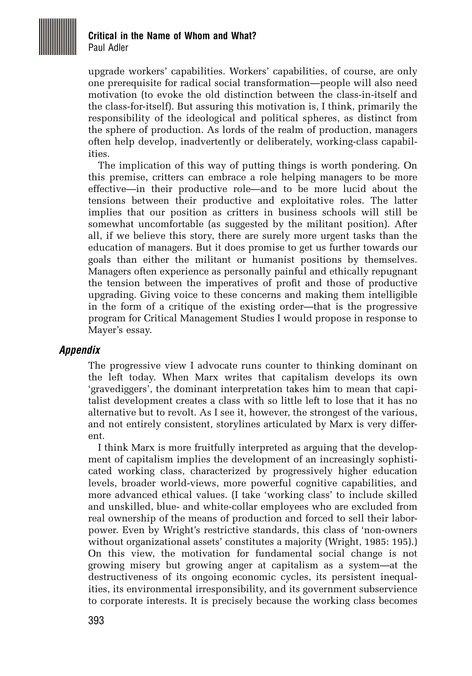

#### **Critical in the Name of Whom and What?** Paul Adler

upgrade workers' capabilities. Workers' capabilities, of course, are only one prerequisite for radical social transformation—people will also need motivation (to evoke the old distinction between the class-in-itself and the class-for-itself). But assuring this motivation is, I think, primarily the responsibility of the ideological and political spheres, as distinct from the sphere of production. As lords of the realm of production, managers often help develop, inadvertently or deliberately, working-class capabilities.

The implication of this way of putting things is worth pondering. On this premise, critters can embrace a role helping managers to be more effective—in their productive role—and to be more lucid about the tensions between their productive and exploitative roles. The latter implies that our position as critters in business schools will still be somewhat uncomfortable (as suggested by the militant position). After all, if we believe this story, there are surely more urgent tasks than the education of managers. But it does promise to get us further towards our goals than either the militant or humanist positions by themselves. Managers often experience as personally painful and ethically repugnant the tension between the imperatives of profit and those of productive upgrading. Giving voice to these concerns and making them intelligible in the form of a critique of the existing order—that is the progressive program for Critical Management Studies I would propose in response to Mayer's essay.

## **Appendix**

The progressive view I advocate runs counter to thinking dominant on the left today. When Marx writes that capitalism develops its own 'gravediggers', the dominant interpretation takes him to mean that capitalist development creates a class with so little left to lose that it has no alternative but to revolt. As I see it, however, the strongest of the various, and not entirely consistent, storylines articulated by Marx is very different.

I think Marx is more fruitfully interpreted as arguing that the development of capitalism implies the development of an increasingly sophisticated working class, characterized by progressively higher education levels, broader world-views, more powerful cognitive capabilities, and more advanced ethical values. (I take 'working class' to include skilled and unskilled, blue- and white-collar employees who are excluded from real ownership of the means of production and forced to sell their laborpower. Even by Wright's restrictive standards, this class of 'non-owners without organizational assets' constitutes a majority (Wright, 1985: 195).) On this view, the motivation for fundamental social change is not growing misery but growing anger at capitalism as a system—at the destructiveness of its ongoing economic cycles, its persistent inequalities, its environmental irresponsibility, and its government subservience to corporate interests. It is precisely because the working class becomes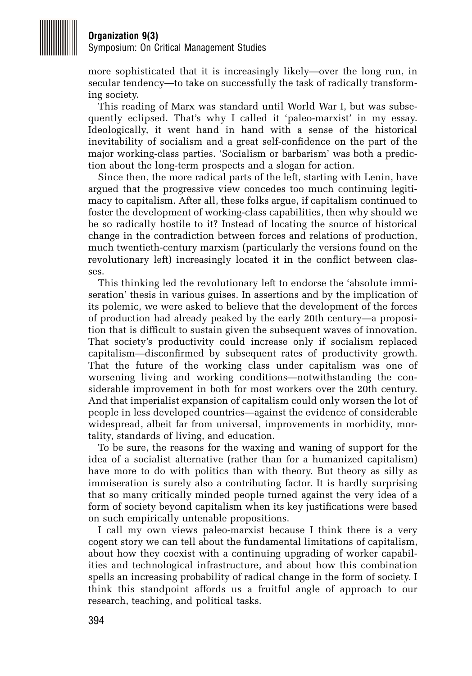

Symposium: On Critical Management Studies

more sophisticated that it is increasingly likely—over the long run, in secular tendency—to take on successfully the task of radically transforming society.

This reading of Marx was standard until World War I, but was subsequently eclipsed. That's why I called it 'paleo-marxist' in my essay. Ideologically, it went hand in hand with a sense of the historical inevitability of socialism and a great self-confidence on the part of the major working-class parties. 'Socialism or barbarism' was both a prediction about the long-term prospects and a slogan for action.

Since then, the more radical parts of the left, starting with Lenin, have argued that the progressive view concedes too much continuing legitimacy to capitalism. After all, these folks argue, if capitalism continued to foster the development of working-class capabilities, then why should we be so radically hostile to it? Instead of locating the source of historical change in the contradiction between forces and relations of production, much twentieth-century marxism (particularly the versions found on the revolutionary left) increasingly located it in the conflict between classes.

This thinking led the revolutionary left to endorse the 'absolute immiseration' thesis in various guises. In assertions and by the implication of its polemic, we were asked to believe that the development of the forces of production had already peaked by the early 20th century—a proposition that is difficult to sustain given the subsequent waves of innovation. That society's productivity could increase only if socialism replaced capitalism—disconfirmed by subsequent rates of productivity growth. That the future of the working class under capitalism was one of worsening living and working conditions—notwithstanding the considerable improvement in both for most workers over the 20th century. And that imperialist expansion of capitalism could only worsen the lot of people in less developed countries—against the evidence of considerable widespread, albeit far from universal, improvements in morbidity, mortality, standards of living, and education.

To be sure, the reasons for the waxing and waning of support for the idea of a socialist alternative (rather than for a humanized capitalism) have more to do with politics than with theory. But theory as silly as immiseration is surely also a contributing factor. It is hardly surprising that so many critically minded people turned against the very idea of a form of society beyond capitalism when its key justifications were based on such empirically untenable propositions.

I call my own views paleo-marxist because I think there is a very cogent story we can tell about the fundamental limitations of capitalism, about how they coexist with a continuing upgrading of worker capabilities and technological infrastructure, and about how this combination spells an increasing probability of radical change in the form of society. I think this standpoint affords us a fruitful angle of approach to our research, teaching, and political tasks.